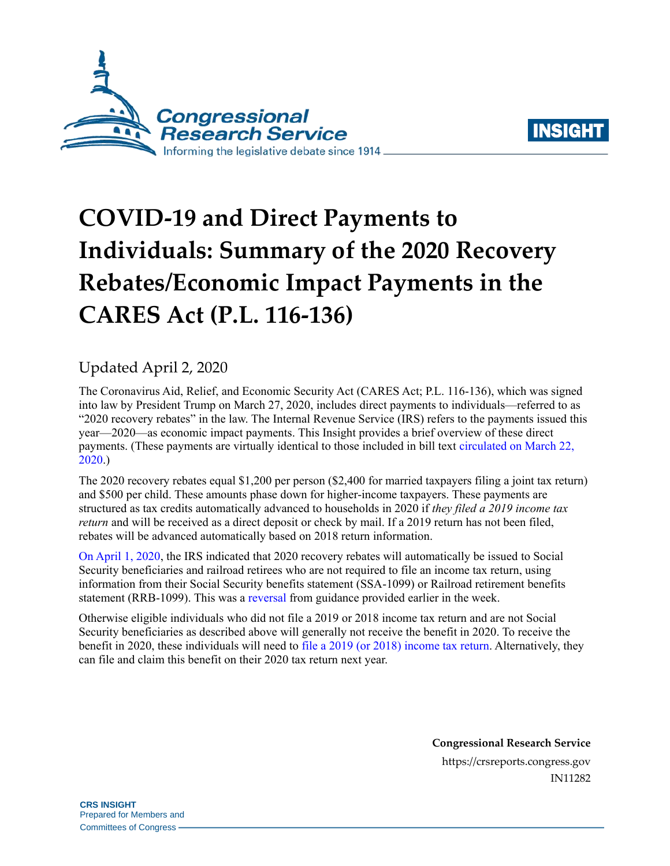



# **COVID-19 and Direct Payments to Individuals: Summary of the 2020 Recovery Rebates/Economic Impact Payments in the CARES Act (P.L. 116-136)**

## Updated April 2, 2020

The Coronavirus Aid, Relief, and Economic Security Act (CARES Act; [P.L. 116-136\)](http://www.congress.gov/cgi-lis/bdquery/R?d116:FLD002:@1(116+136)), which was signed into law by President Trump on March 27, 2020, includes direct payments to individuals—referred to as "2020 recovery rebates" in the law. The Internal Revenue Service (IRS) refers to the payments issued this year—2020—as economic impact payments. This Insight provides a brief overview of these direct payments. (These payments are virtually identical to those included in bill text [circulated on March 22,](https://crsreports.congress.gov/product/pdf/IN/IN11268)  [2020.](https://crsreports.congress.gov/product/pdf/IN/IN11268))

The 2020 recovery rebates equal \$1,200 per person (\$2,400 for married taxpayers filing a joint tax return) and \$500 per child. These amounts phase down for higher-income taxpayers. These payments are structured as tax credits automatically advanced to households in 2020 if *they filed a 2019 income tax return* and will be received as a direct deposit or check by mail. If a 2019 return has not been filed, rebates will be advanced automatically based on 2018 return information.

[On April 1, 2020,](https://www.irs.gov/newsroom/economic-impact-payments-what-you-need-to-know) the IRS indicated that 2020 recovery rebates will automatically be issued to Social Security beneficiaries and railroad retirees who are not required to file an income tax return, using information from their Social Security benefits statement (SSA-1099) or Railroad retirement benefits statement (RRB-1099). This was a [reversal](https://www.politico.com/news/2020/04/01/social-security-recipients-coronavirus-stimulus-160757) from guidance provided earlier in the week.

Otherwise eligible individuals who did not file a 2019 or 2018 income tax return and are not Social Security beneficiaries as described above will generally not receive the benefit in 2020. To receive the benefit in 2020, these individuals will need to file a 2019 (or 2018) [income tax return.](https://www.irs.gov/newsroom/irs-operations-during-covid-19-mission-critical-functions-continue) Alternatively, they can file and claim this benefit on their 2020 tax return next year.

> **Congressional Research Service** https://crsreports.congress.gov IN11282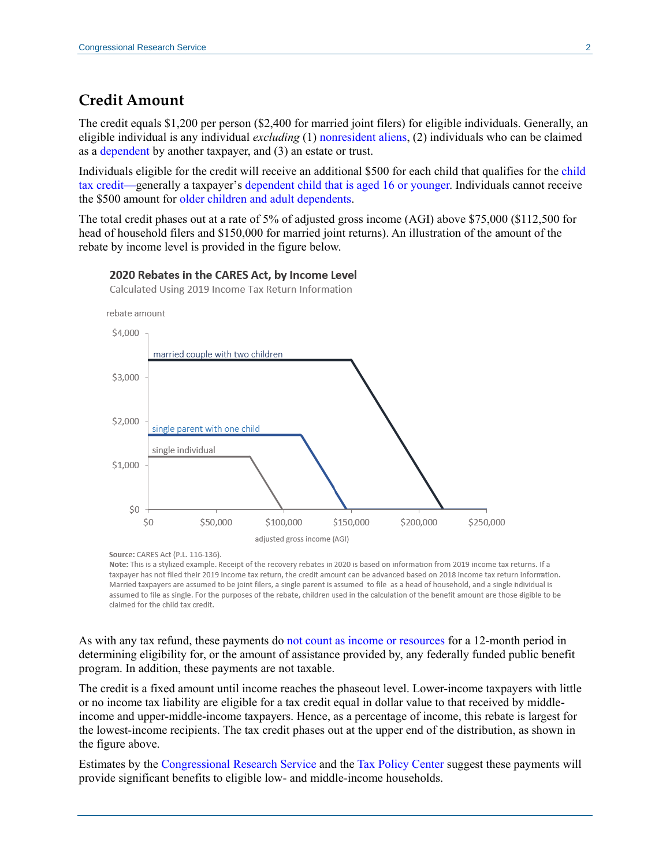#### **Credit Amount**

The credit equals \$1,200 per person (\$2,400 for married joint filers) for eligible individuals. Generally, an eligible individual is any individual *excluding* (1) [nonresident aliens,](https://www.irs.gov/individuals/international-taxpayers/determining-alien-tax-status) (2) individuals who can be claimed as a [dependent](https://www.irs.gov/publications/p501) by another taxpayer, and (3) an estate or trust.

Individuals eligible for the credit will receive an additional \$500 for each child that qualifies for the [child](https://crsreports.congress.gov/product/pdf/R/R41873)  [tax credit—](https://crsreports.congress.gov/product/pdf/R/R41873)generally a taxpayer's [dependent child that is](https://www.irs.gov/newsroom/the-child-tax-credit-benefits-eligible-parents) aged 16 or younger. Individuals cannot receive the \$500 amount for [older children and adult dependents.](https://www.wsj.com/articles/whos-left-out-of-coronavirus-stimulus-payments-many-college-students-adult-dependents-11585396800)

The total credit phases out at a rate of 5% of adjusted gross income (AGI) above \$75,000 (\$112,500 for head of household filers and \$150,000 for married joint returns). An illustration of the amount of the rebate by income level is provided in the figure below.



2020 Rebates in the CARES Act, by Income Level

Calculated Using 2019 Income Tax Return Information

Source: CARES Act (P.L. 116-136).

Note: This is a stylized example. Receipt of the recovery rebates in 2020 is based on information from 2019 income tax returns. If a taxpayer has not filed their 2019 income tax return, the credit amount can be advanced based on 2018 income tax return information. Married taxpayers are assumed to be joint filers, a single parent is assumed to file as a head of household, and a single ndividual is assumed to file as single. For the purposes of the rebate, children used in the calculation of the benefit amount are those digible to be claimed for the child tax credit.

As with any tax refund, these payments do [not count as income or resources](https://www.law.cornell.edu/uscode/text/26/6409) for a 12-month period in determining eligibility for, or the amount of assistance provided by, any federally funded public benefit program. In addition, these payments are not taxable.

The credit is a fixed amount until income reaches the phaseout level. Lower-income taxpayers with little or no income tax liability are eligible for a tax credit equal in dollar value to that received by middleincome and upper-middle-income taxpayers. Hence, as a percentage of income, this rebate is largest for the lowest-income recipients. The tax credit phases out at the upper end of the distribution, as shown in the figure above.

Estimates by the Congressional [Research Service](https://crsreports.congress.gov/product/pdf/IN/IN11270) and th[e Tax Policy Center](https://www.taxpolicycenter.org/taxvox/direct-payments-coronavirus-stimulus-bill-are-well-targeted-low-and-middle-income-households) suggest these payments will provide significant benefits to eligible low- and middle-income households.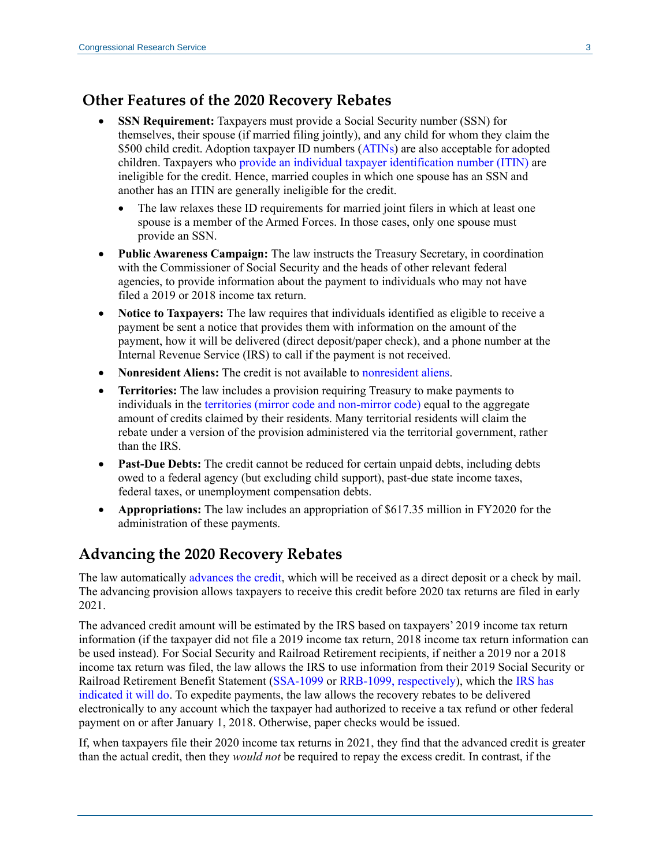#### **Other Features of the 2020 Recovery Rebates**

- **SSN Requirement:** Taxpayers must provide a Social Security number (SSN) for themselves, their spouse (if married filing jointly), and any child for whom they claim the \$500 child credit. Adoption taxpayer ID numbers [\(ATINs\)](https://www.irs.gov/individuals/adoption-taxpayer-identification-number) are also acceptable for adopted children. Taxpayers who provide [an individual taxpayer identification number \(ITIN\)](https://crsreports.congress.gov/product/pdf/R/R43840) are ineligible for the credit. Hence, married couples in which one spouse has an SSN and another has an ITIN are generally ineligible for the credit.
	- The law relaxes these ID requirements for married joint filers in which at least one spouse is a member of the Armed Forces. In those cases, only one spouse must provide an SSN.
- **Public Awareness Campaign:** The law instructs the Treasury Secretary, in coordination with the Commissioner of Social Security and the heads of other relevant federal agencies, to provide information about the payment to individuals who may not have filed a 2019 or 2018 income tax return.
- **Notice to Taxpayers:** The law requires that individuals identified as eligible to receive a payment be sent a notice that provides them with information on the amount of the payment, how it will be delivered (direct deposit/paper check), and a phone number at the Internal Revenue Service (IRS) to call if the payment is not received.
- **Nonresident Aliens:** The credit is not available to [nonresident aliens.](https://www.irs.gov/individuals/international-taxpayers/nonresident-aliens)
- **Territories:** The law includes a provision requiring Treasury to make payments to individuals in the [territories \(mirror code and non-mirror code\)](https://crsreports.congress.gov/product/pdf/R/R44651) equal to the aggregate amount of credits claimed by their residents. Many territorial residents will claim the rebate under a version of the provision administered via the territorial government, rather than the IRS.
- **Past-Due Debts:** The credit cannot be reduced for certain unpaid debts, including debts owed to a federal agency (but excluding child support), past-due state income taxes, federal taxes, or unemployment compensation debts.
- **Appropriations:** The law includes an appropriation of \$617.35 million in FY2020 for the administration of these payments.

#### **Advancing the 2020 Recovery Rebates**

The law automatically advances [the credit,](https://crsreports.congress.gov/product/pdf/IN/IN11247) which will be received as a direct deposit or a check by mail. The advancing provision allows taxpayers to receive this credit before 2020 tax returns are filed in early 2021.

The advanced credit amount will be estimated by the IRS based on taxpayers' 2019 income tax return information (if the taxpayer did not file a 2019 income tax return, 2018 income tax return information can be used instead). For Social Security and Railroad Retirement recipients, if neither a 2019 nor a 2018 income tax return was filed, the law allows the IRS to use information from their 2019 Social Security or Railroad Retirement Benefit Statement [\(SSA-1099](https://blog.ssa.gov/get-your-social-security-benefit-statement-ssa-1099/) or [RRB-1099,](https://www.rrb.gov/Benefits/TXL-1099) respectively), which the [IRS has](https://www.irs.gov/newsroom/economic-impact-payments-what-you-need-to-know)  [indicated it will do.](https://www.irs.gov/newsroom/economic-impact-payments-what-you-need-to-know) To expedite payments, the law allows the recovery rebates to be delivered electronically to any account which the taxpayer had authorized to receive a tax refund or other federal payment on or after January 1, 2018. Otherwise, paper checks would be issued.

If, when taxpayers file their 2020 income tax returns in 2021, they find that the advanced credit is greater than the actual credit, then they *would not* be required to repay the excess credit. In contrast, if the